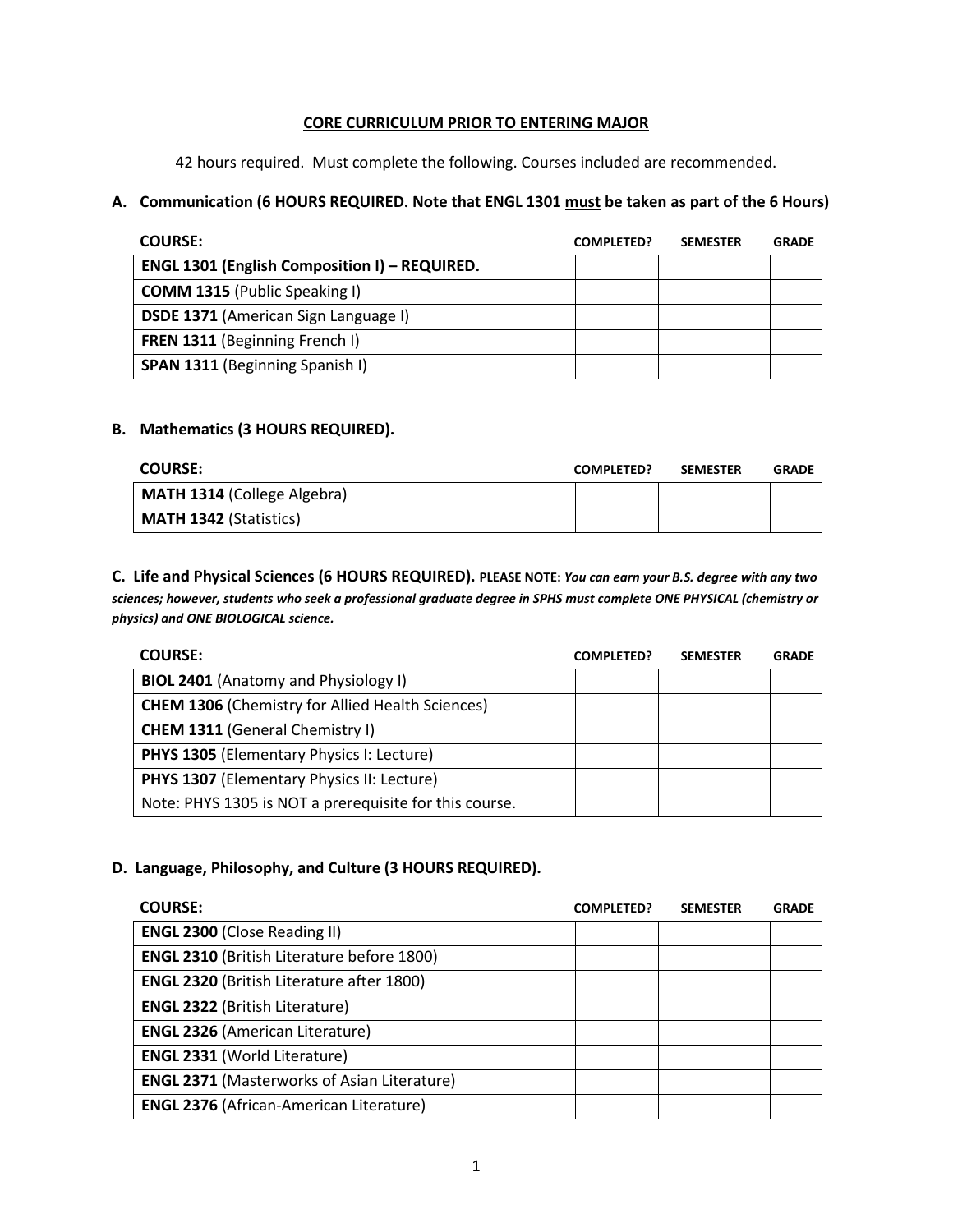## **CORE CURRICULUM PRIOR TO ENTERING MAJOR**

42 hours required. Must complete the following. Courses included are recommended.

## **A. Communication (6 HOURS REQUIRED. Note that ENGL 1301 must be taken as part of the 6 Hours)**

| <b>COURSE:</b>                                       | <b>COMPLETED?</b> | <b>SEMESTER</b> | <b>GRADE</b> |
|------------------------------------------------------|-------------------|-----------------|--------------|
| <b>ENGL 1301 (English Composition I) - REQUIRED.</b> |                   |                 |              |
| <b>COMM 1315 (Public Speaking I)</b>                 |                   |                 |              |
| <b>DSDE 1371 (American Sign Language I)</b>          |                   |                 |              |
| <b>FREN 1311 (Beginning French I)</b>                |                   |                 |              |
| <b>SPAN 1311 (Beginning Spanish I)</b>               |                   |                 |              |

## **B. Mathematics (3 HOURS REQUIRED).**

| <b>COURSE:</b>                     | <b>COMPLETED?</b> | <b>SEMESTER</b> | <b>GRADE</b> |
|------------------------------------|-------------------|-----------------|--------------|
| <b>MATH 1314 (College Algebra)</b> |                   |                 |              |
| <b>MATH 1342 (Statistics)</b>      |                   |                 |              |

**C. Life and Physical Sciences (6 HOURS REQUIRED). PLEASE NOTE:** *You can earn your B.S. degree with any two sciences; however, students who seek a professional graduate degree in SPHS must complete ONE PHYSICAL (chemistry or physics) and ONE BIOLOGICAL science.*

| <b>COURSE:</b>                                          | <b>COMPLETED?</b> | <b>SEMESTER</b> | <b>GRADE</b> |
|---------------------------------------------------------|-------------------|-----------------|--------------|
| <b>BIOL 2401</b> (Anatomy and Physiology I)             |                   |                 |              |
| <b>CHEM 1306 (Chemistry for Allied Health Sciences)</b> |                   |                 |              |
| <b>CHEM 1311 (General Chemistry I)</b>                  |                   |                 |              |
| <b>PHYS 1305 (Elementary Physics I: Lecture)</b>        |                   |                 |              |
| <b>PHYS 1307 (Elementary Physics II: Lecture)</b>       |                   |                 |              |
| Note: PHYS 1305 is NOT a prerequisite for this course.  |                   |                 |              |

## **D. Language, Philosophy, and Culture (3 HOURS REQUIRED).**

| <b>COURSE:</b>                                     | <b>COMPLETED?</b> | <b>SEMESTER</b> | <b>GRADE</b> |
|----------------------------------------------------|-------------------|-----------------|--------------|
| <b>ENGL 2300 (Close Reading II)</b>                |                   |                 |              |
| <b>ENGL 2310 (British Literature before 1800)</b>  |                   |                 |              |
| <b>ENGL 2320 (British Literature after 1800)</b>   |                   |                 |              |
| <b>ENGL 2322 (British Literature)</b>              |                   |                 |              |
| <b>ENGL 2326 (American Literature)</b>             |                   |                 |              |
| <b>ENGL 2331 (World Literature)</b>                |                   |                 |              |
| <b>ENGL 2371 (Masterworks of Asian Literature)</b> |                   |                 |              |
| <b>ENGL 2376 (African-American Literature)</b>     |                   |                 |              |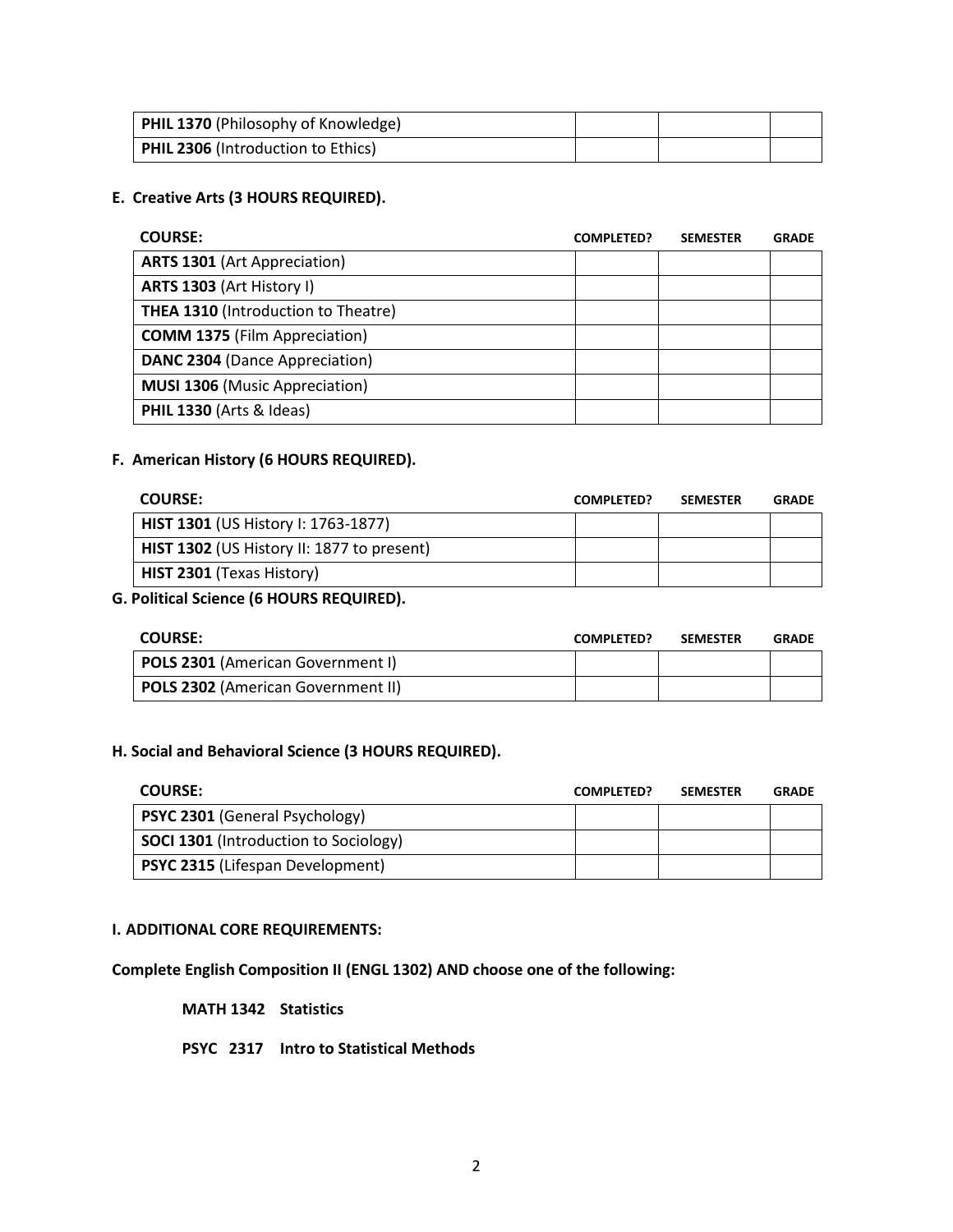| <b>PHIL 1370</b> (Philosophy of Knowledge) |  |  |
|--------------------------------------------|--|--|
| <b>PHIL 2306 (Introduction to Ethics)</b>  |  |  |

#### **E. Creative Arts (3 HOURS REQUIRED).**

| <b>COURSE:</b>                             | <b>COMPLETED?</b> | <b>SEMESTER</b> | <b>GRADE</b> |
|--------------------------------------------|-------------------|-----------------|--------------|
| <b>ARTS 1301 (Art Appreciation)</b>        |                   |                 |              |
| ARTS 1303 (Art History I)                  |                   |                 |              |
| <b>THEA 1310 (Introduction to Theatre)</b> |                   |                 |              |
| <b>COMM 1375</b> (Film Appreciation)       |                   |                 |              |
| <b>DANC 2304 (Dance Appreciation)</b>      |                   |                 |              |
| <b>MUSI 1306 (Music Appreciation)</b>      |                   |                 |              |
| PHIL 1330 (Arts & Ideas)                   |                   |                 |              |

#### **F. American History (6 HOURS REQUIRED).**

| <b>COURSE:</b>                             | <b>COMPLETED?</b> | <b>SEMESTER</b> | <b>GRADE</b> |
|--------------------------------------------|-------------------|-----------------|--------------|
| <b>HIST 1301 (US History I: 1763-1877)</b> |                   |                 |              |
| HIST 1302 (US History II: 1877 to present) |                   |                 |              |
| HIST 2301 (Texas History)                  |                   |                 |              |

## **G. Political Science (6 HOURS REQUIRED).**

| <b>COURSE:</b>                            | <b>COMPLETED?</b> | <b>SEMESTER</b> | <b>GRADE</b> |
|-------------------------------------------|-------------------|-----------------|--------------|
| <b>POLS 2301 (American Government I)</b>  |                   |                 |              |
| <b>POLS 2302 (American Government II)</b> |                   |                 |              |

#### **H. Social and Behavioral Science (3 HOURS REQUIRED).**

| <b>COURSE:</b>                               | <b>COMPLETED?</b> | <b>SEMESTER</b> | <b>GRADE</b> |
|----------------------------------------------|-------------------|-----------------|--------------|
| <b>PSYC 2301 (General Psychology)</b>        |                   |                 |              |
| <b>SOCI 1301</b> (Introduction to Sociology) |                   |                 |              |
| <b>PSYC 2315 (Lifespan Development)</b>      |                   |                 |              |

#### **I. ADDITIONAL CORE REQUIREMENTS:**

# **Complete English Composition II (ENGL 1302) AND choose one of the following:**

#### **MATH 1342 Statistics**

#### **PSYC 2317 Intro to Statistical Methods**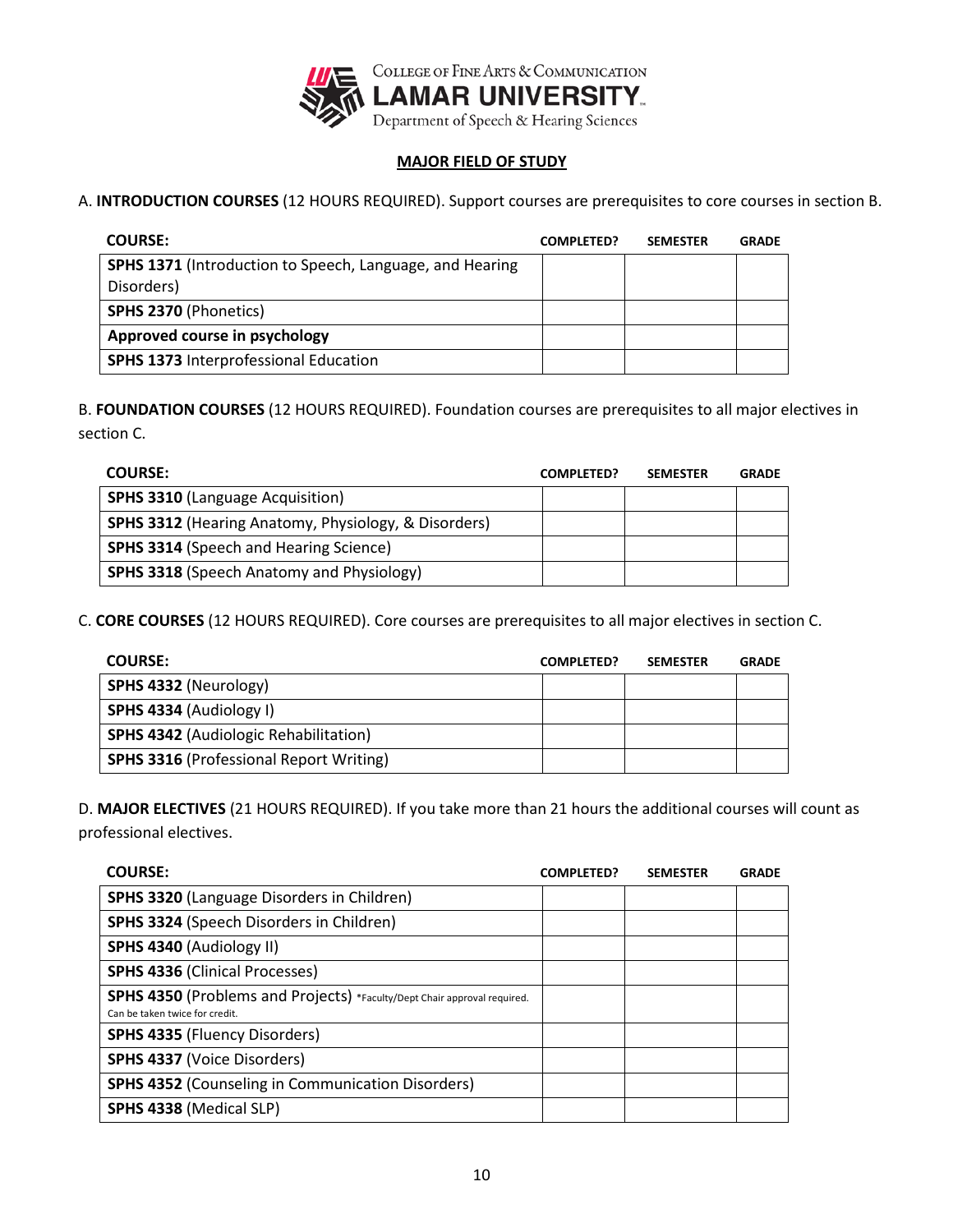

## **MAJOR FIELD OF STUDY**

A. **INTRODUCTION COURSES** (12 HOURS REQUIRED). Support courses are prerequisites to core courses in section B.

| <b>COURSE:</b>                                                  | <b>COMPLETED?</b> | <b>SEMESTER</b> | <b>GRADE</b> |
|-----------------------------------------------------------------|-------------------|-----------------|--------------|
| <b>SPHS 1371</b> (Introduction to Speech, Language, and Hearing |                   |                 |              |
| Disorders)                                                      |                   |                 |              |
| SPHS 2370 (Phonetics)                                           |                   |                 |              |
| Approved course in psychology                                   |                   |                 |              |
| <b>SPHS 1373 Interprofessional Education</b>                    |                   |                 |              |

B. **FOUNDATION COURSES** (12 HOURS REQUIRED). Foundation courses are prerequisites to all major electives in section C.

| <b>COURSE:</b>                                                  | <b>COMPLETED?</b> | <b>SEMESTER</b> | <b>GRADE</b> |
|-----------------------------------------------------------------|-------------------|-----------------|--------------|
| <b>SPHS 3310 (Language Acquisition)</b>                         |                   |                 |              |
| <b>SPHS 3312 (Hearing Anatomy, Physiology, &amp; Disorders)</b> |                   |                 |              |
| <b>SPHS 3314 (Speech and Hearing Science)</b>                   |                   |                 |              |
| <b>SPHS 3318 (Speech Anatomy and Physiology)</b>                |                   |                 |              |

C. **CORE COURSES** (12 HOURS REQUIRED). Core courses are prerequisites to all major electives in section C.

| <b>COURSE:</b>                                 | <b>COMPLETED?</b> | <b>SEMESTER</b> | <b>GRADE</b> |
|------------------------------------------------|-------------------|-----------------|--------------|
| SPHS 4332 (Neurology)                          |                   |                 |              |
| SPHS 4334 (Audiology I)                        |                   |                 |              |
| <b>SPHS 4342 (Audiologic Rehabilitation)</b>   |                   |                 |              |
| <b>SPHS 3316 (Professional Report Writing)</b> |                   |                 |              |

D. **MAJOR ELECTIVES** (21 HOURS REQUIRED). If you take more than 21 hours the additional courses will count as professional electives.

| <b>COURSE:</b>                                                                                             | <b>COMPLETED?</b> | <b>SEMESTER</b> | <b>GRADE</b> |
|------------------------------------------------------------------------------------------------------------|-------------------|-----------------|--------------|
| <b>SPHS 3320 (Language Disorders in Children)</b>                                                          |                   |                 |              |
| SPHS 3324 (Speech Disorders in Children)                                                                   |                   |                 |              |
| SPHS 4340 (Audiology II)                                                                                   |                   |                 |              |
| <b>SPHS 4336 (Clinical Processes)</b>                                                                      |                   |                 |              |
| SPHS 4350 (Problems and Projects) *Faculty/Dept Chair approval required.<br>Can be taken twice for credit. |                   |                 |              |
| <b>SPHS 4335 (Fluency Disorders)</b>                                                                       |                   |                 |              |
| <b>SPHS 4337 (Voice Disorders)</b>                                                                         |                   |                 |              |
| <b>SPHS 4352 (Counseling in Communication Disorders)</b>                                                   |                   |                 |              |
| SPHS 4338 (Medical SLP)                                                                                    |                   |                 |              |